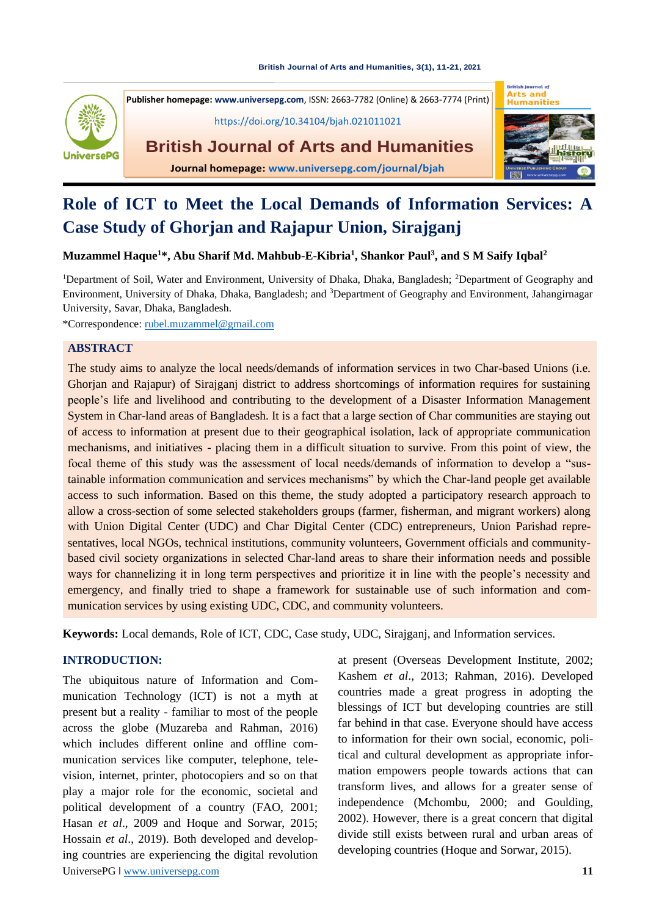#### **[British Journal of Arts and Humanities,](https://doi.org/10.34104/bjah.021011021) 3(1), 11-21, 2021**



**British Journal of Arts** and **Publisher homepage[: www.universepg.com](http://www.universepg.com/)**, ISSN: 2663-7782 (Online) & 2663-7774 (Print) <https://doi.org/10.34104/bjah.021011021> **British Journal of Arts and Humanities Journal homepage: [www.universepg.com/journal/bjah](http://www.universepg.com/journal/bjah)**



# **Role of ICT to Meet the Local Demands of Information Services: A Case Study of Ghorjan and Rajapur Union, Sirajganj**

**Muzammel Haque<sup>1</sup>\*, Abu Sharif Md. Mahbub-E-Kibria<sup>1</sup> , Shankor Paul<sup>3</sup> , and S M Saify Iqbal<sup>2</sup>**

<sup>1</sup>Department of Soil, Water and Environment, University of Dhaka, Dhaka, Bangladesh; <sup>2</sup>Department of Geography and Environment, University of Dhaka, Dhaka, Bangladesh; and <sup>3</sup>Department of Geography and Environment, Jahangirnagar University, Savar, Dhaka, Bangladesh.

\*Correspondence: [rubel.muzammel@gmail.com](mailto:rubel.muzammel@gmail.com)

#### **ABSTRACT**

The study aims to analyze the local needs/demands of information services in two Char-based Unions (i.e. Ghorjan and Rajapur) of Sirajganj district to address shortcomings of information requires for sustaining people's life and livelihood and contributing to the development of a Disaster Information Management System in Char-land areas of Bangladesh. It is a fact that a large section of Char communities are staying out of access to information at present due to their geographical isolation, lack of appropriate communication mechanisms, and initiatives - placing them in a difficult situation to survive. From this point of view, the focal theme of this study was the assessment of local needs/demands of information to develop a "sustainable information communication and services mechanisms" by which the Char-land people get available access to such information. Based on this theme, the study adopted a participatory research approach to allow a cross-section of some selected stakeholders groups (farmer, fisherman, and migrant workers) along with Union Digital Center (UDC) and Char Digital Center (CDC) entrepreneurs, Union Parishad representatives, local NGOs, technical institutions, community volunteers, Government officials and communitybased civil society organizations in selected Char-land areas to share their information needs and possible ways for channelizing it in long term perspectives and prioritize it in line with the people's necessity and emergency, and finally tried to shape a framework for sustainable use of such information and communication services by using existing UDC, CDC, and community volunteers.

**Keywords:** Local demands, Role of ICT, CDC, Case study, UDC, Sirajganj, and Information services.

## **INTRODUCTION:**

UniversePG l [www.universepg.com](http://www.universepg.com/) **11** The ubiquitous nature of Information and Communication Technology (ICT) is not a myth at present but a reality - familiar to most of the people across the globe (Muzareba and Rahman, 2016) which includes different online and offline communication services like computer, telephone, television, internet, printer, photocopiers and so on that play a major role for the economic, societal and political development of a country (FAO, 2001; Hasan *et al*., 2009 and Hoque and Sorwar, 2015; Hossain *et al.*, 2019). Both developed and developing countries are experiencing the digital revolution

at present (Overseas Development Institute, 2002; Kashem *et al*., 2013; Rahman, 2016). Developed countries made a great progress in adopting the blessings of ICT but developing countries are still far behind in that case. Everyone should have access to information for their own social, economic, political and cultural development as appropriate information empowers people towards actions that can transform lives, and allows for a greater sense of independence (Mchombu, 2000; and Goulding, 2002). However, there is a great concern that digital divide still exists between rural and urban areas of developing countries (Hoque and Sorwar, 2015).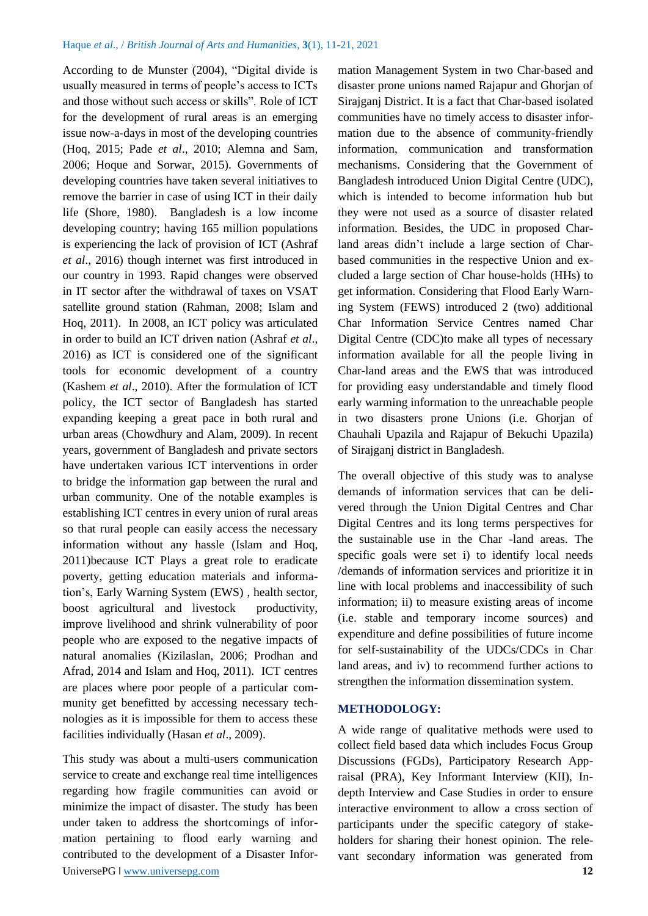According to de Munster (2004), "Digital divide is usually measured in terms of people's access to ICTs and those without such access or skills". Role of ICT for the development of rural areas is an emerging issue now-a-days in most of the developing countries (Hoq, 2015; Pade *et al*., 2010; Alemna and Sam, 2006; Hoque and Sorwar, 2015). Governments of developing countries have taken several initiatives to remove the barrier in case of using ICT in their daily life (Shore, 1980). Bangladesh is a low income developing country; having 165 million populations is experiencing the lack of provision of ICT (Ashraf *et al*., 2016) though internet was first introduced in our country in 1993. Rapid changes were observed in IT sector after the withdrawal of taxes on VSAT satellite ground station (Rahman, 2008; Islam and Hoq, 2011). In 2008, an ICT policy was articulated in order to build an ICT driven nation (Ashraf *et al*., 2016) as ICT is considered one of the significant tools for economic development of a country (Kashem *et al*., 2010). After the formulation of ICT policy, the ICT sector of Bangladesh has started expanding keeping a great pace in both rural and urban areas (Chowdhury and Alam, 2009). In recent years, government of Bangladesh and private sectors have undertaken various ICT interventions in order to bridge the information gap between the rural and urban community. One of the notable examples is establishing ICT centres in every union of rural areas so that rural people can easily access the necessary information without any hassle (Islam and Hoq, 2011)because ICT Plays a great role to eradicate poverty, getting education materials and information's, Early Warning System (EWS) , health sector, boost agricultural and livestock productivity, improve livelihood and shrink vulnerability of poor people who are exposed to the negative impacts of natural anomalies (Kizilaslan, 2006; Prodhan and Afrad, 2014 and Islam and Hoq, 2011). ICT centres are places where poor people of a particular community get benefitted by accessing necessary technologies as it is impossible for them to access these facilities individually (Hasan *et al*., 2009).

UniversePG l [www.universepg.com](http://www.universepg.com/) **12** This study was about a multi-users communication service to create and exchange real time intelligences regarding how fragile communities can avoid or minimize the impact of disaster. The study has been under taken to address the shortcomings of information pertaining to flood early warning and contributed to the development of a Disaster Infor-

mation Management System in two Char-based and disaster prone unions named Rajapur and Ghorjan of Sirajganj District. It is a fact that Char-based isolated communities have no timely access to disaster information due to the absence of community-friendly information, communication and transformation mechanisms. Considering that the Government of Bangladesh introduced Union Digital Centre (UDC), which is intended to become information hub but they were not used as a source of disaster related information. Besides, the UDC in proposed Charland areas didn't include a large section of Charbased communities in the respective Union and excluded a large section of Char house-holds (HHs) to get information. Considering that Flood Early Warning System (FEWS) introduced 2 (two) additional Char Information Service Centres named Char Digital Centre (CDC)to make all types of necessary information available for all the people living in Char-land areas and the EWS that was introduced for providing easy understandable and timely flood early warming information to the unreachable people in two disasters prone Unions (i.e. Ghorjan of Chauhali Upazila and Rajapur of Bekuchi Upazila) of Sirajganj district in Bangladesh.

The overall objective of this study was to analyse demands of information services that can be delivered through the Union Digital Centres and Char Digital Centres and its long terms perspectives for the sustainable use in the Char -land areas. The specific goals were set i) to identify local needs /demands of information services and prioritize it in line with local problems and inaccessibility of such information; ii) to measure existing areas of income (i.e. stable and temporary income sources) and expenditure and define possibilities of future income for self-sustainability of the UDCs/CDCs in Char land areas, and iv) to recommend further actions to strengthen the information dissemination system.

#### **METHODOLOGY:**

A wide range of qualitative methods were used to collect field based data which includes Focus Group Discussions (FGDs), Participatory Research Appraisal (PRA), Key Informant Interview (KII), Indepth Interview and Case Studies in order to ensure interactive environment to allow a cross section of participants under the specific category of stakeholders for sharing their honest opinion. The relevant secondary information was generated from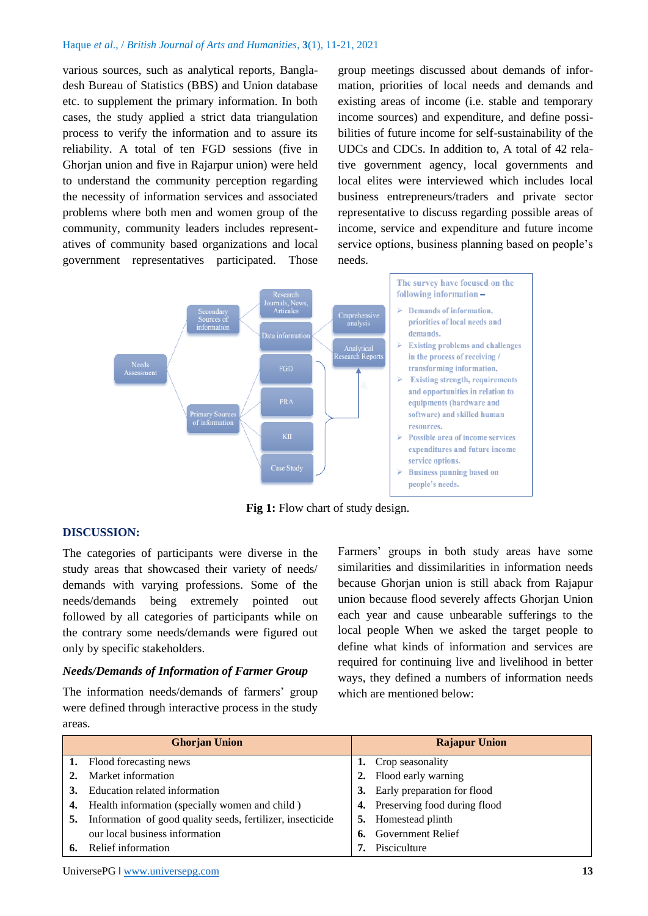various sources, such as analytical reports, Bangladesh Bureau of Statistics (BBS) and Union database etc. to supplement the primary information. In both cases, the study applied a strict data triangulation process to verify the information and to assure its reliability. A total of ten FGD sessions (five in Ghorjan union and five in Rajarpur union) were held to understand the community perception regarding the necessity of information services and associated problems where both men and women group of the community, community leaders includes representatives of community based organizations and local government representatives participated. Those group meetings discussed about demands of information, priorities of local needs and demands and existing areas of income (i.e. stable and temporary income sources) and expenditure, and define possibilities of future income for self-sustainability of the UDCs and CDCs. In addition to, A total of 42 relative government agency, local governments and local elites were interviewed which includes local business entrepreneurs/traders and private sector representative to discuss regarding possible areas of income, service and expenditure and future income service options, business planning based on people's needs.



**Fig 1:** Flow chart of study design.

### **DISCUSSION:**

The categories of participants were diverse in the study areas that showcased their variety of needs/ demands with varying professions. Some of the needs/demands being extremely pointed out followed by all categories of participants while on the contrary some needs/demands were figured out only by specific stakeholders.

### *Needs/Demands of Information of Farmer Group*

The information needs/demands of farmers' group were defined through interactive process in the study areas.

Farmers' groups in both study areas have some similarities and dissimilarities in information needs because Ghorjan union is still aback from Rajapur union because flood severely affects Ghorjan Union each year and cause unbearable sufferings to the local people When we asked the target people to define what kinds of information and services are required for continuing live and livelihood in better ways, they defined a numbers of information needs which are mentioned below:

|    | <b>Ghorjan Union</b>                                       |    | <b>Rajapur Union</b>            |
|----|------------------------------------------------------------|----|---------------------------------|
|    | <b>1.</b> Flood forecasting news                           |    | 1. Crop seasonality             |
|    | Market information                                         |    | 2. Flood early warning          |
|    | Education related information                              |    | 3. Early preparation for flood  |
|    | <b>4.</b> Health information (specially women and child)   |    | 4. Preserving food during flood |
| 5. | Information of good quality seeds, fertilizer, insecticide | 5. | Homestead plinth                |
|    | our local business information                             |    | <b>6.</b> Government Relief     |
|    | Relief information                                         |    | Pisciculture                    |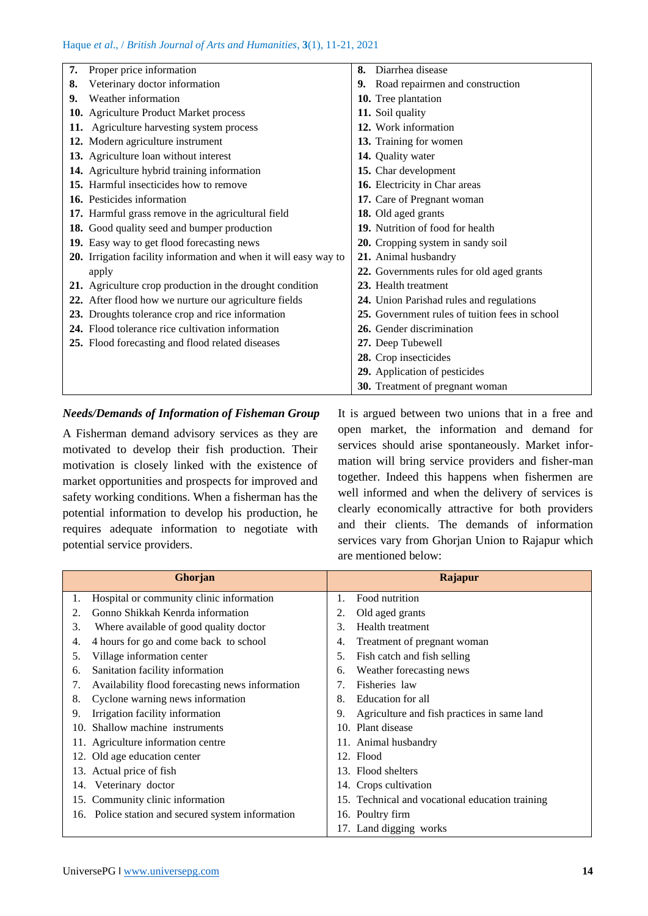| 7. | Proper price information                                         | 8. | Diarrhea disease                               |
|----|------------------------------------------------------------------|----|------------------------------------------------|
| 8. | Veterinary doctor information                                    | 9. | Road repairmen and construction                |
| 9. | Weather information                                              |    | 10. Tree plantation                            |
|    | 10. Agriculture Product Market process                           |    | 11. Soil quality                               |
|    | 11. Agriculture harvesting system process                        |    | 12. Work information                           |
|    | 12. Modern agriculture instrument                                |    | 13. Training for women                         |
|    | 13. Agriculture loan without interest                            |    | 14. Quality water                              |
|    | 14. Agriculture hybrid training information                      |    | 15. Char development                           |
|    | 15. Harmful insecticides how to remove                           |    | 16. Electricity in Char areas                  |
|    | 16. Pesticides information                                       |    | 17. Care of Pregnant woman                     |
|    | 17. Harmful grass remove in the agricultural field               |    | 18. Old aged grants                            |
|    | 18. Good quality seed and bumper production                      |    | 19. Nutrition of food for health               |
|    | 19. Easy way to get flood forecasting news                       |    | 20. Cropping system in sandy soil              |
|    | 20. Irrigation facility information and when it will easy way to |    | 21. Animal husbandry                           |
|    | apply                                                            |    | 22. Governments rules for old aged grants      |
|    | 21. Agriculture crop production in the drought condition         |    | 23. Health treatment                           |
|    | 22. After flood how we nurture our agriculture fields            |    | 24. Union Parishad rules and regulations       |
|    | 23. Droughts tolerance crop and rice information                 |    | 25. Government rules of tuition fees in school |
|    | 24. Flood tolerance rice cultivation information                 |    | 26. Gender discrimination                      |
|    | 25. Flood forecasting and flood related diseases                 |    | 27. Deep Tubewell                              |
|    |                                                                  |    | 28. Crop insecticides                          |
|    |                                                                  |    | 29. Application of pesticides                  |
|    |                                                                  |    | 30. Treatment of pregnant woman                |

#### *Needs/Demands of Information of Fisheman Group*

A Fisherman demand advisory services as they are motivated to develop their fish production. Their motivation is closely linked with the existence of market opportunities and prospects for improved and safety working conditions. When a fisherman has the potential information to develop his production, he requires adequate information to negotiate with potential service providers.

It is argued between two unions that in a free and open market, the information and demand for services should arise spontaneously. Market information will bring service providers and fisher-man together. Indeed this happens when fishermen are well informed and when the delivery of services is clearly economically attractive for both providers and their clients. The demands of information services vary from Ghorjan Union to Rajapur which are mentioned below:

|                                       | Ghorjan                                               | <b>Rajapur</b>                                  |
|---------------------------------------|-------------------------------------------------------|-------------------------------------------------|
| 1.                                    | Hospital or community clinic information              | Food nutrition                                  |
| 2.                                    | Gonno Shikkah Kenrda information<br>2.                | Old aged grants                                 |
| 3.                                    | 3.<br>Where available of good quality doctor          | <b>Health</b> treatment                         |
| 4.                                    | 4 hours for go and come back to school<br>4.          | Treatment of pregnant woman                     |
| Village information center<br>5.      | 5.                                                    | Fish catch and fish selling                     |
| Sanitation facility information<br>6. | 6.                                                    | Weather forecasting news                        |
| 7.                                    | Availability flood forecasting news information<br>7. | Fisheries law                                   |
| 8.                                    | Cyclone warning news information<br>8.                | Education for all                               |
| Irrigation facility information<br>9. | 9.                                                    | Agriculture and fish practices in same land     |
| Shallow machine instruments<br>10.    |                                                       | 10. Plant disease                               |
| 11. Agriculture information centre    |                                                       | 11. Animal husbandry                            |
| 12. Old age education center          |                                                       | 12. Flood                                       |
| 13. Actual price of fish              |                                                       | 13. Flood shelters                              |
| Veterinary doctor<br>14.              |                                                       | 14. Crops cultivation                           |
| 15. Community clinic information      |                                                       | 15. Technical and vocational education training |
|                                       | 16. Police station and secured system information     | 16. Poultry firm                                |
|                                       |                                                       | 17. Land digging works                          |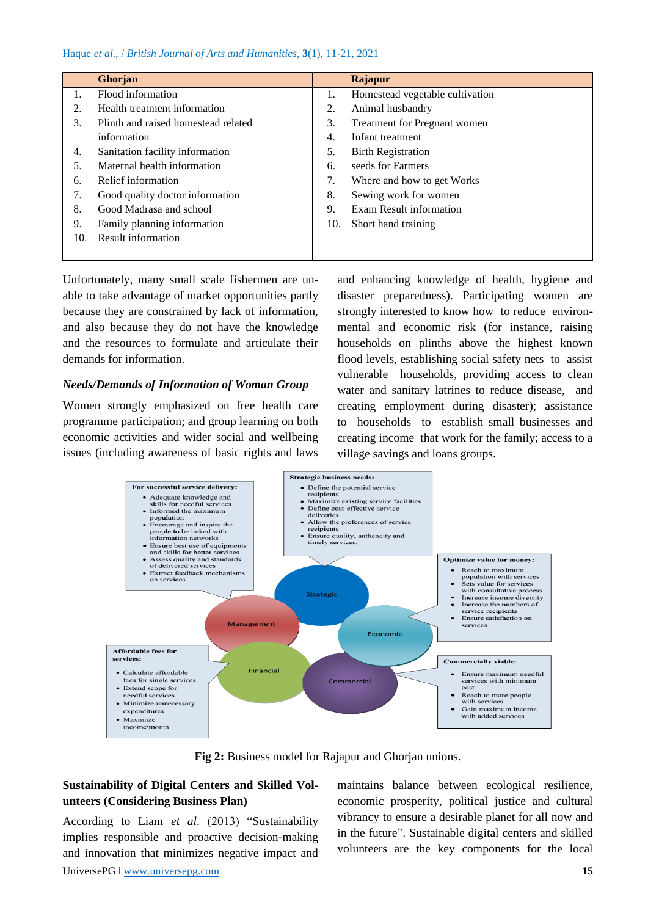|     | Ghorjan                             |     | Rajapur                             |
|-----|-------------------------------------|-----|-------------------------------------|
| 1.  | Flood information                   | 1.  | Homestead vegetable cultivation     |
| 2.  | Health treatment information        | 2.  | Animal husbandry                    |
| 3.  | Plinth and raised homestead related | 3.  | <b>Treatment for Pregnant women</b> |
|     | information                         | 4.  | Infant treatment                    |
| 4.  | Sanitation facility information     | 5.  | <b>Birth Registration</b>           |
| .5. | Maternal health information         | 6.  | seeds for Farmers                   |
| 6.  | Relief information                  | 7.  | Where and how to get Works          |
| 7.  | Good quality doctor information     | 8.  | Sewing work for women               |
| 8.  | Good Madrasa and school             | 9.  | Exam Result information             |
| 9.  | Family planning information         | 10. | Short hand training                 |
| 10. | Result information                  |     |                                     |
|     |                                     |     |                                     |

Unfortunately, many small scale fishermen are unable to take advantage of market opportunities partly because they are constrained by lack of information, and also because they do not have the knowledge and the resources to formulate and articulate their demands for information.

#### *Needs/Demands of Information of Woman Group*

Women strongly emphasized on free health care programme participation; and group learning on both economic activities and wider social and wellbeing issues (including awareness of basic rights and laws and enhancing knowledge of health, hygiene and disaster preparedness). Participating women are strongly interested to know how to reduce environmental and economic risk (for instance, raising households on plinths above the highest known flood levels, establishing social safety nets to assist vulnerable households, providing access to clean water and sanitary latrines to reduce disease, and creating employment during disaster); assistance to households to establish small businesses and creating income that work for the family; access to a village savings and loans groups.



**Fig 2:** Business model for Rajapur and Ghorjan unions.

## **Sustainability of Digital Centers and Skilled Volunteers (Considering Business Plan)**

According to Liam *et al*. (2013) "Sustainability implies responsible and proactive decision-making and innovation that minimizes negative impact and

maintains balance between ecological resilience, economic prosperity, political justice and cultural vibrancy to ensure a desirable planet for all now and in the future". Sustainable digital centers and skilled volunteers are the key components for the local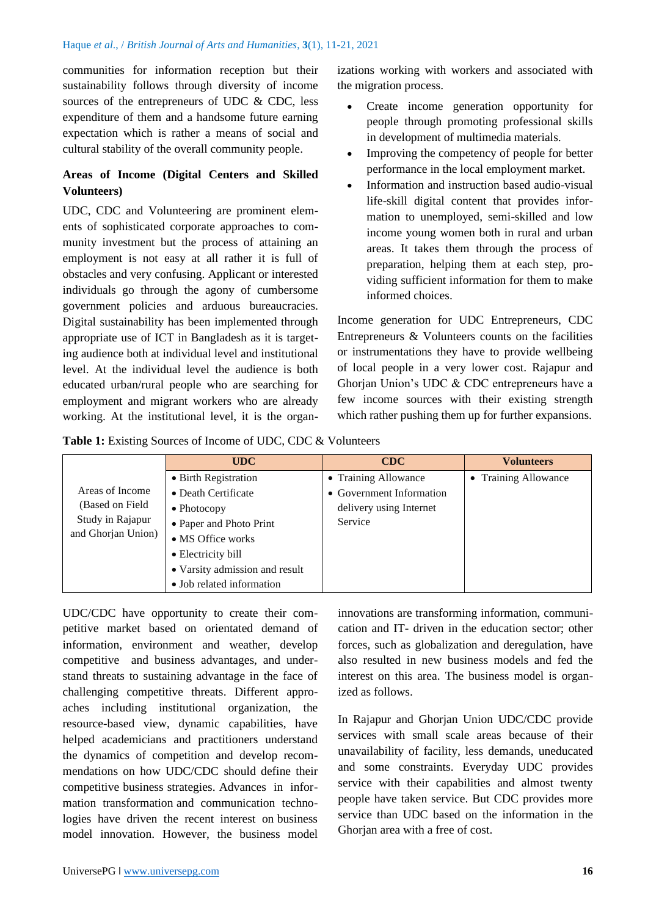communities for information reception but their sustainability follows through diversity of income sources of the entrepreneurs of UDC & CDC, less expenditure of them and a handsome future earning expectation which is rather a means of social and cultural stability of the overall community people.

# **Areas of Income (Digital Centers and Skilled Volunteers)**

UDC, CDC and Volunteering are prominent elements of sophisticated corporate approaches to community investment but the process of attaining an employment is not easy at all rather it is full of obstacles and very confusing. Applicant or interested individuals go through the agony of cumbersome government policies and arduous bureaucracies. Digital sustainability has been implemented through appropriate use of ICT in Bangladesh as it is targeting audience both at individual level and institutional level. At the individual level the audience is both educated urban/rural people who are searching for employment and migrant workers who are already working. At the institutional level, it is the organizations working with workers and associated with the migration process.

- Create income generation opportunity for people through promoting professional skills in development of multimedia materials.
- Improving the competency of people for better performance in the local employment market.
- Information and instruction based audio-visual life-skill digital content that provides information to unemployed, semi-skilled and low income young women both in rural and urban areas. It takes them through the process of preparation, helping them at each step, providing sufficient information for them to make informed choices.

Income generation for UDC Entrepreneurs, CDC Entrepreneurs & Volunteers counts on the facilities or instrumentations they have to provide wellbeing of local people in a very lower cost. Rajapur and Ghorjan Union's UDC & CDC entrepreneurs have a few income sources with their existing strength which rather pushing them up for further expansions.

|  |  |  |  |  |  | <b>Table 1:</b> Existing Sources of Income of UDC, CDC & Volunteers |
|--|--|--|--|--|--|---------------------------------------------------------------------|
|--|--|--|--|--|--|---------------------------------------------------------------------|

|                    | <b>UDC</b>                     | CDC                      | <b>Volunteers</b>    |
|--------------------|--------------------------------|--------------------------|----------------------|
|                    | • Birth Registration           | • Training Allowance     | • Training Allowance |
| Areas of Income    | • Death Certificate            | • Government Information |                      |
| (Based on Field    | $\bullet$ Photocopy            | delivery using Internet  |                      |
| Study in Rajapur   | • Paper and Photo Print        | Service                  |                      |
| and Ghorjan Union) | • MS Office works              |                          |                      |
|                    | • Electricity bill             |                          |                      |
|                    | • Varsity admission and result |                          |                      |
|                    | • Job related information      |                          |                      |

UDC/CDC have opportunity to create their competitive market based on orientated demand of information, environment and weather, develop competitive and business advantages, and understand threats to sustaining advantage in the face of challenging competitive threats. Different approaches including institutional organization, the resource-based view, dynamic capabilities, have helped academicians and practitioners understand the dynamics of competition and develop recommendations on how UDC/CDC should define their competitive business strategies. Advances in information transformation and communication technologies have driven the recent interest on business model innovation. However, the business model innovations are transforming information, communication and IT- driven in the education sector; other forces, such as globalization and deregulation, have also resulted in new business models and fed the interest on this area. The business model is organized as follows.

In Rajapur and Ghorjan Union UDC/CDC provide services with small scale areas because of their unavailability of facility, less demands, uneducated and some constraints. Everyday UDC provides service with their capabilities and almost twenty people have taken service. But CDC provides more service than UDC based on the information in the Ghorjan area with a free of cost.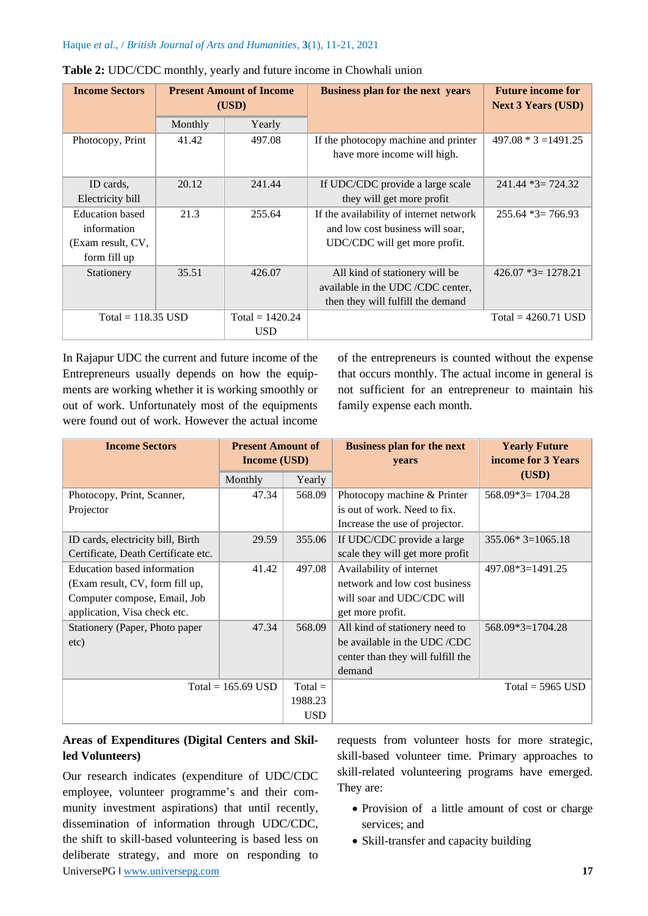| <b>Income Sectors</b>  |         | <b>Present Amount of Income</b><br>(USD) | <b>Business plan for the next years</b>                             | <b>Future income for</b><br><b>Next 3 Years (USD)</b> |
|------------------------|---------|------------------------------------------|---------------------------------------------------------------------|-------------------------------------------------------|
|                        | Monthly | Yearly                                   |                                                                     |                                                       |
| Photocopy, Print       | 41.42   | 497.08                                   | If the photocopy machine and printer<br>have more income will high. | $497.08 * 3 = 1491.25$                                |
|                        |         |                                          |                                                                     |                                                       |
| ID cards.              | 20.12   | 241.44                                   | If UDC/CDC provide a large scale                                    | $241.44*3=724.32$                                     |
| Electricity bill       |         |                                          | they will get more profit                                           |                                                       |
| <b>Education</b> based | 21.3    | 255.64                                   | If the availability of internet network                             | $255.64*3=766.93$                                     |
| information            |         |                                          | and low cost business will soar,                                    |                                                       |
| (Exam result, CV,      |         |                                          | UDC/CDC will get more profit.                                       |                                                       |
| form fill up           |         |                                          |                                                                     |                                                       |
| Stationery             | 35.51   | 426.07                                   | All kind of stationery will be                                      | $426.07 *3=1278.21$                                   |
|                        |         |                                          | available in the UDC/CDC center,                                    |                                                       |
|                        |         |                                          | then they will fulfill the demand                                   |                                                       |
| $Total = 118.35$ USD   |         | Total = $1420.24$                        |                                                                     | $Total = 4260.71$ USD                                 |
|                        |         | <b>USD</b>                               |                                                                     |                                                       |

In Rajapur UDC the current and future income of the Entrepreneurs usually depends on how the equipments are working whether it is working smoothly or out of work. Unfortunately most of the equipments were found out of work. However the actual income of the entrepreneurs is counted without the expense that occurs monthly. The actual income in general is not sufficient for an entrepreneur to maintain his family expense each month.

| <b>Income Sectors</b>               | <b>Present Amount of</b><br><b>Income (USD)</b> |            | <b>Business plan for the next</b><br>years | <b>Yearly Future</b><br>income for 3 Years |
|-------------------------------------|-------------------------------------------------|------------|--------------------------------------------|--------------------------------------------|
|                                     | Monthly                                         | Yearly     |                                            | (USD)                                      |
| Photocopy, Print, Scanner,          | 47.34                                           | 568.09     | Photocopy machine & Printer                | $568.09*3=1704.28$                         |
| Projector                           |                                                 |            | is out of work. Need to fix.               |                                            |
|                                     |                                                 |            | Increase the use of projector.             |                                            |
| ID cards, electricity bill, Birth   | 29.59                                           | 355.06     | If UDC/CDC provide a large                 | $355.06*3=1065.18$                         |
| Certificate, Death Certificate etc. |                                                 |            | scale they will get more profit            |                                            |
| Education based information         | 41.42                                           | 497.08     | Availability of internet                   | $497.08*3=1491.25$                         |
| (Exam result, CV, form fill up,     |                                                 |            | network and low cost business              |                                            |
| Computer compose, Email, Job        |                                                 |            | will soar and UDC/CDC will                 |                                            |
| application, Visa check etc.        |                                                 |            | get more profit.                           |                                            |
| Stationery (Paper, Photo paper      | 47.34                                           | 568.09     | All kind of stationery need to             | 568.09*3=1704.28                           |
| etc)                                |                                                 |            | be available in the UDC/CDC                |                                            |
|                                     |                                                 |            | center than they will fulfill the          |                                            |
|                                     |                                                 |            | demand                                     |                                            |
|                                     | $Total = 165.69$ USD                            | $Total =$  |                                            | Total = $5965$ USD                         |
|                                     |                                                 | 1988.23    |                                            |                                            |
|                                     |                                                 | <b>USD</b> |                                            |                                            |

# **Areas of Expenditures (Digital Centers and Skilled Volunteers)**

UniversePG l [www.universepg.com](http://www.universepg.com/) **17** Our research indicates (expenditure of UDC/CDC employee, volunteer programme's and their community investment aspirations) that until recently, dissemination of information through UDC/CDC, the shift to skill-based volunteering is based less on deliberate strategy, and more on responding to

requests from volunteer hosts for more strategic, skill-based volunteer time. Primary approaches to skill-related volunteering programs have emerged. They are:

- Provision of a little amount of cost or charge services; and
- Skill-transfer and capacity building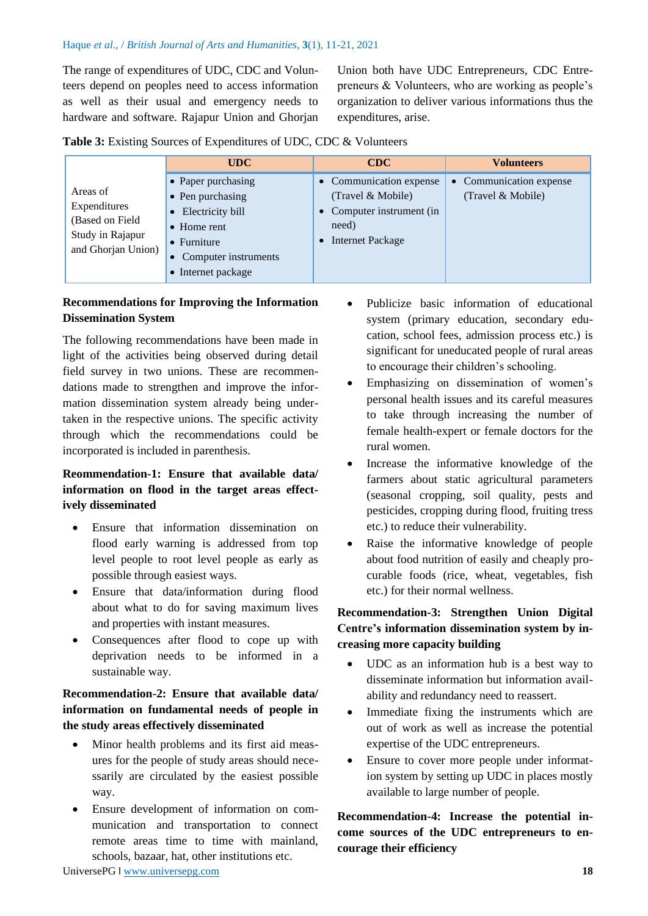The range of expenditures of UDC, CDC and Volunteers depend on peoples need to access information as well as their usual and emergency needs to hardware and software. Rajapur Union and Ghorjan Union both have UDC Entrepreneurs, CDC Entrepreneurs & Volunteers, who are working as people's organization to deliver various informations thus the expenditures, arise.

| Table 3: Existing Sources of Expenditures of UDC, CDC & Volunteers |  |  |
|--------------------------------------------------------------------|--|--|
|--------------------------------------------------------------------|--|--|

|                                                                                       | <b>UDC</b>                                                                                                                                                    | CDC                                                                                                      | <b>Volunteers</b>                            |
|---------------------------------------------------------------------------------------|---------------------------------------------------------------------------------------------------------------------------------------------------------------|----------------------------------------------------------------------------------------------------------|----------------------------------------------|
| Areas of<br>Expenditures<br>(Based on Field<br>Study in Rajapur<br>and Ghorjan Union) | • Paper purchasing<br>• Pen purchasing<br>Electricity bill<br>$\bullet$<br>$\bullet$ Home rent<br>• Furniture<br>• Computer instruments<br>• Internet package | • Communication expense<br>(Travel & Mobile)<br>• Computer instrument (in<br>need)<br>• Internet Package | • Communication expense<br>(Travel & Mobile) |

# **Recommendations for Improving the Information Dissemination System**

The following recommendations have been made in light of the activities being observed during detail field survey in two unions. These are recommendations made to strengthen and improve the information dissemination system already being undertaken in the respective unions. The specific activity through which the recommendations could be incorporated is included in parenthesis.

# **Reommendation-1: Ensure that available data/ information on flood in the target areas effectively disseminated**

- Ensure that information dissemination on flood early warning is addressed from top level people to root level people as early as possible through easiest ways.
- Ensure that data/information during flood about what to do for saving maximum lives and properties with instant measures.
- Consequences after flood to cope up with deprivation needs to be informed in a sustainable way.

# **Recommendation-2: Ensure that available data/ information on fundamental needs of people in the study areas effectively disseminated**

- Minor health problems and its first aid measures for the people of study areas should necessarily are circulated by the easiest possible way.
- Ensure development of information on communication and transportation to connect remote areas time to time with mainland, schools, bazaar, hat, other institutions etc.
- Publicize basic information of educational system (primary education, secondary education, school fees, admission process etc.) is significant for uneducated people of rural areas to encourage their children's schooling.
- Emphasizing on dissemination of women's personal health issues and its careful measures to take through increasing the number of female health-expert or female doctors for the rural women.
- Increase the informative knowledge of the farmers about static agricultural parameters (seasonal cropping, soil quality, pests and pesticides, cropping during flood, fruiting tress etc.) to reduce their vulnerability.
- Raise the informative knowledge of people about food nutrition of easily and cheaply procurable foods (rice, wheat, vegetables, fish etc.) for their normal wellness.

# **Recommendation-3: Strengthen Union Digital Centre's information dissemination system by increasing more capacity building**

- UDC as an information hub is a best way to disseminate information but information availability and redundancy need to reassert.
- Immediate fixing the instruments which are out of work as well as increase the potential expertise of the UDC entrepreneurs.
- Ensure to cover more people under information system by setting up UDC in places mostly available to large number of people.

# **Recommendation-4: Increase the potential income sources of the UDC entrepreneurs to encourage their efficiency**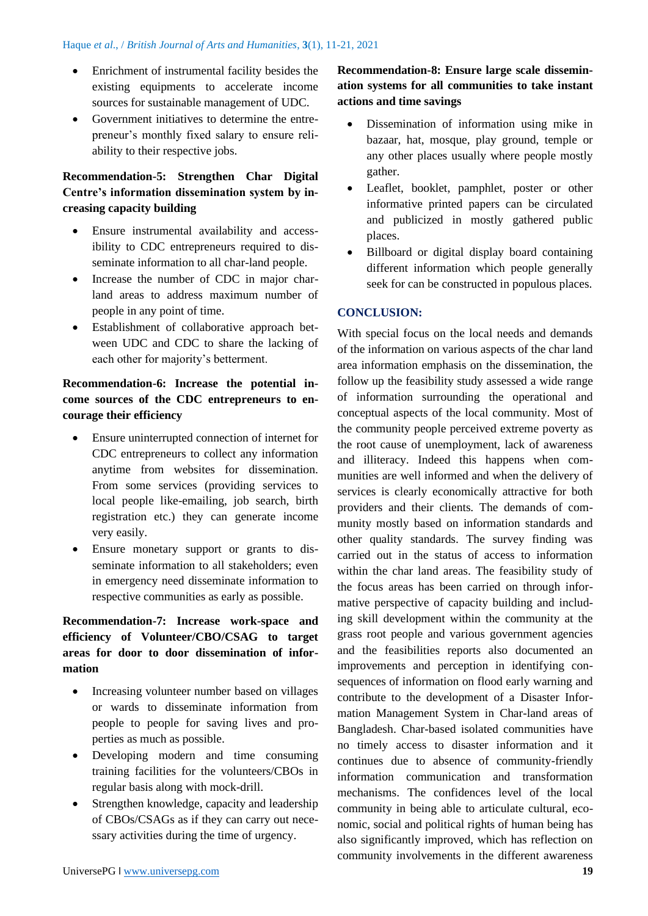- Enrichment of instrumental facility besides the existing equipments to accelerate income sources for sustainable management of UDC.
- Government initiatives to determine the entrepreneur's monthly fixed salary to ensure reliability to their respective jobs.

# **Recommendation-5: Strengthen Char Digital Centre's information dissemination system by increasing capacity building**

- Ensure instrumental availability and accessibility to CDC entrepreneurs required to disseminate information to all char-land people.
- Increase the number of CDC in major charland areas to address maximum number of people in any point of time.
- Establishment of collaborative approach between UDC and CDC to share the lacking of each other for majority's betterment.

# **Recommendation-6: Increase the potential income sources of the CDC entrepreneurs to encourage their efficiency**

- Ensure uninterrupted connection of internet for CDC entrepreneurs to collect any information anytime from websites for dissemination. From some services (providing services to local people like-emailing, job search, birth registration etc.) they can generate income very easily.
- Ensure monetary support or grants to disseminate information to all stakeholders; even in emergency need disseminate information to respective communities as early as possible.

# **Recommendation-7: Increase work-space and efficiency of Volunteer/CBO/CSAG to target areas for door to door dissemination of information**

- Increasing volunteer number based on villages or wards to disseminate information from people to people for saving lives and properties as much as possible.
- Developing modern and time consuming training facilities for the volunteers/CBOs in regular basis along with mock-drill.
- Strengthen knowledge, capacity and leadership of CBOs/CSAGs as if they can carry out necessary activities during the time of urgency.

# gather. • Leaflet, booklet, pamphlet, poster or other

**actions and time savings**

informative printed papers can be circulated and publicized in mostly gathered public places.

**Recommendation-8: Ensure large scale dissemination systems for all communities to take instant** 

• Dissemination of information using mike in bazaar, hat, mosque, play ground, temple or any other places usually where people mostly

• Billboard or digital display board containing different information which people generally seek for can be constructed in populous places.

## **CONCLUSION:**

With special focus on the local needs and demands of the information on various aspects of the char land area information emphasis on the dissemination, the follow up the feasibility study assessed a wide range of information surrounding the operational and conceptual aspects of the local community. Most of the community people perceived extreme poverty as the root cause of unemployment, lack of awareness and illiteracy. Indeed this happens when communities are well informed and when the delivery of services is clearly economically attractive for both providers and their clients. The demands of community mostly based on information standards and other quality standards. The survey finding was carried out in the status of access to information within the char land areas. The feasibility study of the focus areas has been carried on through informative perspective of capacity building and including skill development within the community at the grass root people and various government agencies and the feasibilities reports also documented an improvements and perception in identifying consequences of information on flood early warning and contribute to the development of a Disaster Information Management System in Char-land areas of Bangladesh. Char-based isolated communities have no timely access to disaster information and it continues due to absence of community-friendly information communication and transformation mechanisms. The confidences level of the local community in being able to articulate cultural, economic, social and political rights of human being has also significantly improved, which has reflection on community involvements in the different awareness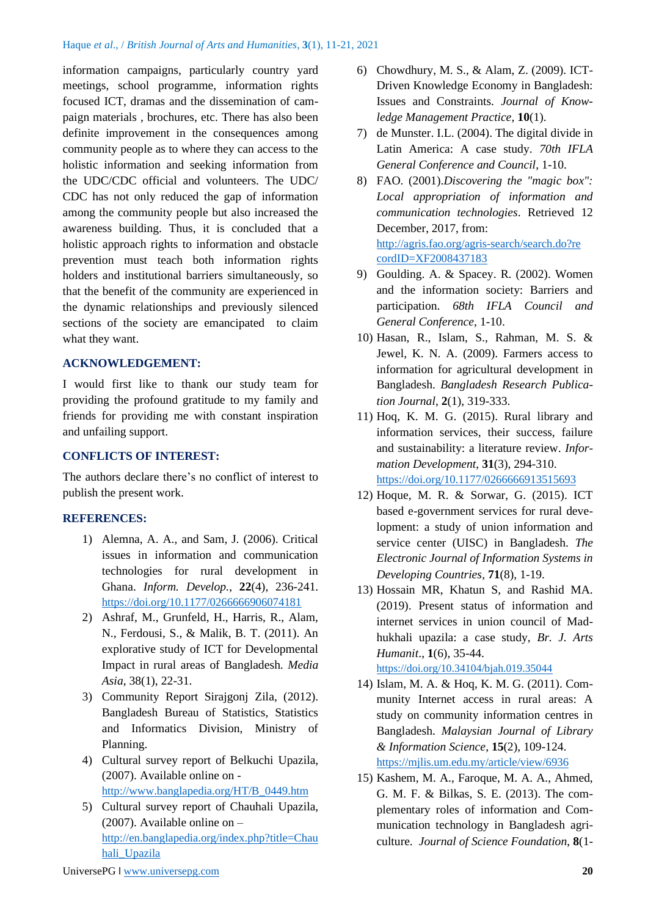information campaigns, particularly country yard meetings, school programme, information rights focused ICT, dramas and the dissemination of campaign materials , brochures, etc. There has also been definite improvement in the consequences among community people as to where they can access to the holistic information and seeking information from the UDC/CDC official and volunteers. The UDC/ CDC has not only reduced the gap of information among the community people but also increased the awareness building. Thus, it is concluded that a holistic approach rights to information and obstacle prevention must teach both information rights holders and institutional barriers simultaneously, so that the benefit of the community are experienced in the dynamic relationships and previously silenced sections of the society are emancipated to claim what they want.

### **ACKNOWLEDGEMENT:**

I would first like to thank our study team for providing the profound gratitude to my family and friends for providing me with constant inspiration and unfailing support.

### **CONFLICTS OF INTEREST:**

The authors declare there's no conflict of interest to publish the present work.

### **REFERENCES:**

- 1) Alemna, A. A., and Sam, J. (2006). Critical issues in information and communication technologies for rural development in Ghana. *Inform. Develop.*, **22**(4), 236-241. <https://doi.org/10.1177/0266666906074181>
- 2) Ashraf, M., Grunfeld, H., Harris, R., Alam, N., Ferdousi, S., & Malik, B. T. (2011). An explorative study of ICT for Developmental Impact in rural areas of Bangladesh. *Media Asia*, 38(1), 22-31.
- 3) Community Report Sirajgonj Zila, (2012). Bangladesh Bureau of Statistics, Statistics and Informatics Division, Ministry of Planning.
- 4) Cultural survey report of Belkuchi Upazila, (2007). Available online on [http://www.banglapedia.org/HT/B\\_0449.htm](http://www.banglapedia.org/HT/B_0449.htm)
- 5) Cultural survey report of Chauhali Upazila, (2007). Available online on  $$ [http://en.banglapedia.org/index.php?title=Chau](http://en.banglapedia.org/index.php?title=Chauhali_Upazila) [hali\\_Upazila](http://en.banglapedia.org/index.php?title=Chauhali_Upazila)
- 6) Chowdhury, M. S., & Alam, Z. (2009). ICT-Driven Knowledge Economy in Bangladesh: Issues and Constraints. *Journal of Knowledge Management Practice*, **10**(1).
- 7) de Munster. I.L. (2004). The digital divide in Latin America: A case study. *70th IFLA General Conference and Council*, 1-10.
- 8) FAO. (2001).*Discovering the "magic box": Local appropriation of information and communication technologies*. Retrieved 12 December, 2017, from: [http://agris.fao.org/agris-search/search.do?re](http://agris.fao.org/agris-search/search.do?re%20cordID=XF2008437183)  [cordID=XF2008437183](http://agris.fao.org/agris-search/search.do?re%20cordID=XF2008437183)
- 9) Goulding. A. & Spacey. R. (2002). Women and the information society: Barriers and participation. *68th IFLA Council and General Conference*, 1-10.
- 10) Hasan, R., Islam, S., Rahman, M. S. & Jewel, K. N. A. (2009). Farmers access to information for agricultural development in Bangladesh. *Bangladesh Research Publication Journal*, **2**(1), 319-333.
- 11) Hoq, K. M. G. (2015). Rural library and information services, their success, failure and sustainability: a literature review. *Information Development*, **31**(3), 294-310. <https://doi.org/10.1177/0266666913515693>
- 12) Hoque, M. R. & Sorwar, G. (2015). ICT based e-government services for rural development: a study of union information and service center (UISC) in Bangladesh. *The Electronic Journal of Information Systems in Developing Countries*, **71**(8), 1-19.
- 13) Hossain MR, Khatun S, and Rashid MA. (2019). Present status of information and internet services in union council of Madhukhali upazila: a case study, *Br. J. Arts Humanit*., **1**(6), 35-44.

<https://doi.org/10.34104/bjah.019.35044>

- 14) Islam, M. A. & Hoq, K. M. G. (2011). Community Internet access in rural areas: A study on community information centres in Bangladesh. *Malaysian Journal of Library & Information Science*, **15**(2), 109-124. <https://mjlis.um.edu.my/article/view/6936>
- 15) Kashem, M. A., Faroque, M. A. A., Ahmed, G. M. F. & Bilkas, S. E. (2013). The complementary roles of information and Communication technology in Bangladesh agriculture. *Journal of Science Foundation*, **8**(1-